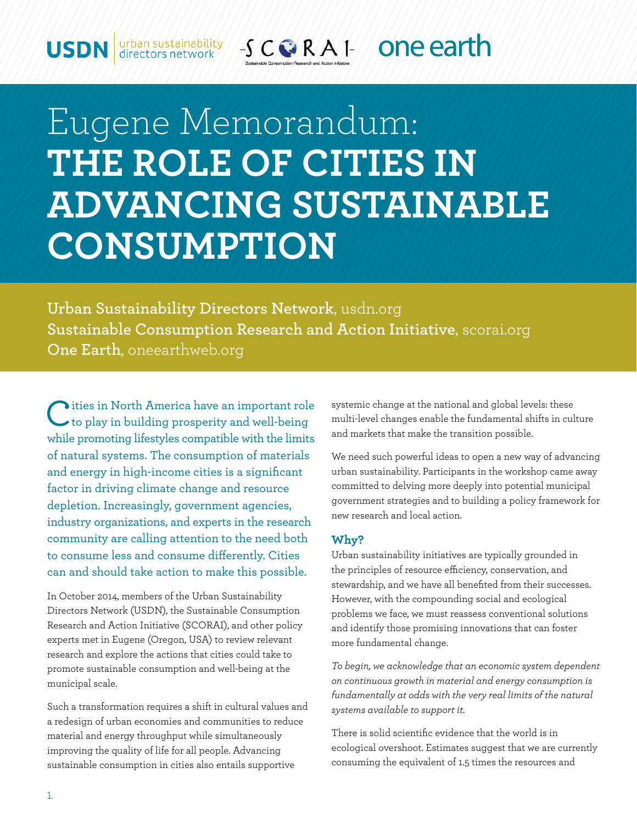$-5$  CORAI one earth urban sustainability<br>directors network

# Eugene Memorandum: THE ROLE OF CITIES IN **ADVANCING SUSTAINABLE CONSUMPTION**

Urban Sustainability Directors Network, usdn.org Sustainable Consumption Research and Action Initiative, scorai.org One Earth, oneearthweb.org

ities in North America have an important role to play in building prosperity and well-being while promoting lifestyles compatible with the limits of natural systems. The consumption of materials and energy in high-income cities is a significant factor in driving climate change and resource depletion. Increasingly, government agencies, industry organizations, and experts in the research community are calling attention to the need both to consume less and consume differently. Cities can and should take action to make this possible.

In October 2014, members of the Urban Sustainability Directors Network (USDN), the Sustainable Consumption Research and Action Initiative (SCORAI), and other policy experts met in Eugene (Oregon, USA) to review relevant research and explore the actions that cities could take to promote sustainable consumption and well-being at the municipal scale.

Such a transformation requires a shift in cultural values and a redesign of urban economies and communities to reduce material and energy throughput while simultaneously improving the quality of life for all people. Advancing sustainable consumption in cities also entails supportive

systemic change at the national and global levels: these multi-level changes enable the fundamental shifts in culture and markets that make the transition possible.

We need such powerful ideas to open a new way of advancing urban sustainability. Participants in the workshop came away committed to delving more deeply into potential municipal government strategies and to building a policy framework for new research and local action.

#### Why?

Urban sustainability initiatives are typically grounded in the principles of resource efficiency, conservation, and stewardship, and we have all benefited from their successes. However, with the compounding social and ecological problems we face, we must reassess conventional solutions and identify those promising innovations that can foster more fundamental change.

To begin, we acknowledge that an economic system dependent on continuous growth in material and energy consumption is fundamentally at odds with the very real limits of the natural systems available to support it.

There is solid scientific evidence that the world is in ecological overshoot. Estimates suggest that we are currently consuming the equivalent of 1.5 times the resources and

**USDN**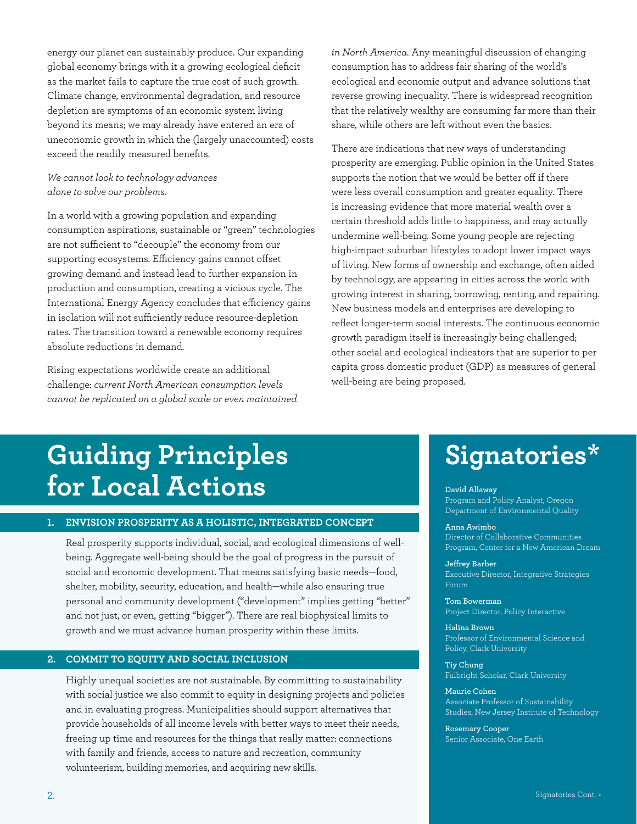energy our planet can sustainably produce. Our expanding global economy brings with it a growing ecological deficit as the market fails to capture the true cost of such growth. Climate change, environmental degradation, and resource depletion are symptoms of an economic system living beyond its means; we may already have entered an era of uneconomic growth in which the (largely unaccounted) costs exceed the readily measured benefits.

#### *We cannot look to technology advances alone to solve our problems.*

In a world with a growing population and expanding consumption aspirations, sustainable or "green" technologies are not sufficient to "decouple" the economy from our supporting ecosystems. Efficiency gains cannot offset growing demand and instead lead to further expansion in production and consumption, creating a vicious cycle. The International Energy Agency concludes that efficiency gains in isolation will not sufficiently reduce resource-depletion rates. The transition toward a renewable economy requires absolute reductions in demand.

Rising expectations worldwide create an additional challenge: *current North American consumption levels cannot be replicated on a global scale or even maintained*  *in North America.* Any meaningful discussion of changing consumption has to address fair sharing of the world's ecological and economic output and advance solutions that reverse growing inequality. There is widespread recognition that the relatively wealthy are consuming far more than their share, while others are left without even the basics.

There are indications that new ways of understanding prosperity are emerging. Public opinion in the United States supports the notion that we would be better off if there were less overall consumption and greater equality. There is increasing evidence that more material wealth over a certain threshold adds little to happiness, and may actually undermine well-being. Some young people are rejecting high-impact suburban lifestyles to adopt lower impact ways of living. New forms of ownership and exchange, often aided by technology, are appearing in cities across the world with growing interest in sharing, borrowing, renting, and repairing. New business models and enterprises are developing to reflect longer-term social interests. The continuous economic growth paradigm itself is increasingly being challenged; other social and ecological indicators that are superior to per capita gross domestic product (GDP) as measures of general well-being are being proposed.

## **Guiding Principles for Local Actions**

#### **1. ENVISION PROSPERITY AS A HOLISTIC, INTEGRATED CONCEPT**

 Real prosperity supports individual, social, and ecological dimensions of wellbeing. Aggregate well-being should be the goal of progress in the pursuit of social and economic development. That means satisfying basic needs—food, shelter, mobility, security, education, and health—while also ensuring true personal and community development ("development" implies getting "better" and not just, or even, getting "bigger"). There are real biophysical limits to growth and we must advance human prosperity within these limits.

#### **2. COMMIT TO EQUITY AND SOCIAL INCLUSION**

 Highly unequal societies are not sustainable. By committing to sustainability with social justice we also commit to equity in designing projects and policies and in evaluating progress. Municipalities should support alternatives that provide households of all income levels with better ways to meet their needs, freeing up time and resources for the things that really matter: connections with family and friends, access to nature and recreation, community volunteerism, building memories, and acquiring new skills.

### **Signatories\***

#### **David Allaway**

Program and Policy Analyst, Oregon Department of Environmental Quality

#### **Anna Awimbo** Director of Collaborative Communities Program, Center for a New American Dream

**Je!rey Barber** Executive Director, Integrative Strategies Forum

**Tom Bowerman** Project Director, Policy Interactive

**Halina Brown** Professor of Environmental Science and Policy, Clark University

**Tiy Chung** Fulbright Scholar, Clark University

**Maurie Cohen** Associate Professor of Sustainability Studies, New Jersey Institute of Technology

**Rosemary Cooper** Senior Associate, One Earth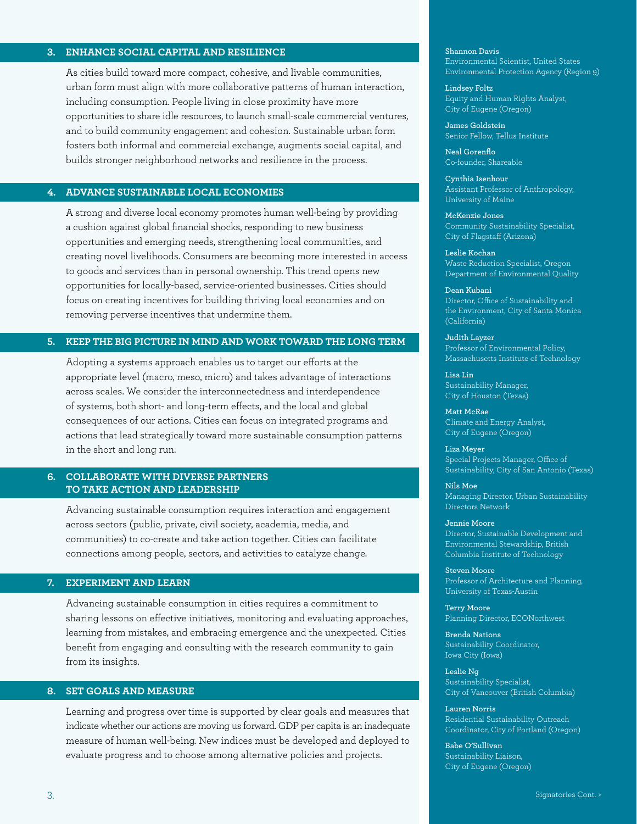#### **3. ENHANCE SOCIAL CAPITAL AND RESILIENCE**

As cities build toward more compact, cohesive, and livable communities, urban form must align with more collaborative patterns of human interaction, including consumption. People living in close proximity have more opportunities to share idle resources, to launch small-scale commercial ventures, and to build community engagement and cohesion. Sustainable urban form fosters both informal and commercial exchange, augments social capital, and builds stronger neighborhood networks and resilience in the process.

#### **4. ADVANCE SUSTAINABLE LOCAL ECONOMIES**

A strong and diverse local economy promotes human well-being by providing a cushion against global financial shocks, responding to new business opportunities and emerging needs, strengthening local communities, and creating novel livelihoods. Consumers are becoming more interested in access to goods and services than in personal ownership. This trend opens new opportunities for locally-based, service-oriented businesses. Cities should focus on creating incentives for building thriving local economies and on removing perverse incentives that undermine them.

#### **5. KEEP THE BIG PICTURE IN MIND AND WORK TOWARD THE LONG TERM**

Adopting a systems approach enables us to target our efforts at the appropriate level (macro, meso, micro) and takes advantage of interactions across scales. We consider the interconnectedness and interdependence of systems, both short- and long-term effects, and the local and global consequences of our actions. Cities can focus on integrated programs and actions that lead strategically toward more sustainable consumption patterns in the short and long run.

#### **6. COLLABORATE WITH DIVERSE PARTNERS TO TAKE ACTION AND LEADERSHIP**

 Advancing sustainable consumption requires interaction and engagement across sectors (public, private, civil society, academia, media, and communities) to co-create and take action together. Cities can facilitate connections among people, sectors, and activities to catalyze change.

#### **7. EXPERIMENT AND LEARN**

 Advancing sustainable consumption in cities requires a commitment to sharing lessons on effective initiatives, monitoring and evaluating approaches, learning from mistakes, and embracing emergence and the unexpected. Cities benefit from engaging and consulting with the research community to gain from its insights.

#### **8. SET GOALS AND MEASURE**

 Learning and progress over time is supported by clear goals and measures that indicate whether our actions are moving us forward. GDP per capita is an inadequate measure of human well-being. New indices must be developed and deployed to evaluate progress and to choose among alternative policies and projects.

**Shannon Davis** Environmental Scientist, United States Environmental Protection Agency (Region 9)

**Lindsey Foltz** Equity and Human Rights Analyst, City of Eugene (Oregon)

**James Goldstein** Senior Fellow, Tellus Institute

**Neal Gorenflo** Co-founder, Shareable

**Cynthia Isenhour** Assistant Professor of Anthropology, University of Maine

**McKenzie Jones** Community Sustainability Specialist, City of Flagstaff (Arizona)

**Leslie Kochan** Waste Reduction Specialist, Oregon Department of Environmental Quality

**Dean Kubani** Director, Office of Sustainability and the Environment, City of Santa Monica (California)

**Judith Layzer** Professor of Environmental Policy, Massachusetts Institute of Technology

**Lisa Lin** Sustainability Manager, City of Houston (Texas)

**Matt McRae** Climate and Energy Analyst, City of Eugene (Oregon)

**Liza Meyer** Special Projects Manager, Office of Sustainability, City of San Antonio (Texas)

**Nils Moe** Managing Director, Urban Sustainability Directors Network

**Jennie Moore** Director, Sustainable Development and Environmental Stewardship, British Columbia Institute of Technology

**Steven Moore** Professor of Architecture and Planning, University of Texas-Austin

**Terry Moore** Planning Director, ECONorthwest

**Brenda Nations** Sustainability Coordinator, Iowa City (Iowa)

**Leslie Ng** Sustainability Specialist, City of Vancouver (British Columbia)

**Lauren Norris** Residential Sustainability Outreach Coordinator, City of Portland (Oregon)

**Babe O'Sullivan** Sustainability Liaison, City of Eugene (Oregon)